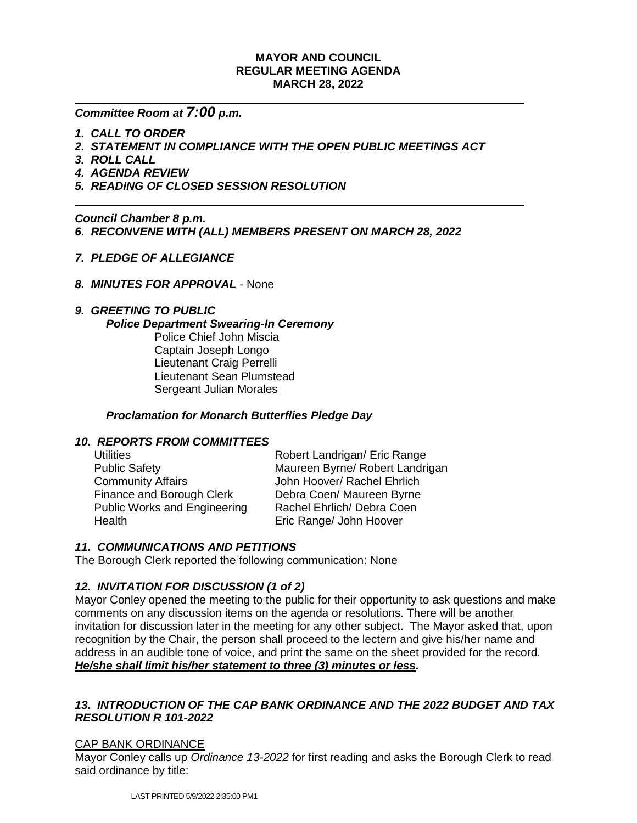## **MAYOR AND COUNCIL REGULAR MEETING AGENDA MARCH 28, 2022**

# *Committee Room at 7:00 p.m.*

- *1. CALL TO ORDER*
- *2. STATEMENT IN COMPLIANCE WITH THE OPEN PUBLIC MEETINGS ACT*
- *3. ROLL CALL*
- *4. AGENDA REVIEW*
- *5. READING OF CLOSED SESSION RESOLUTION*

*Council Chamber 8 p.m.* 

*6. RECONVENE WITH (ALL) MEMBERS PRESENT ON MARCH 28, 2022*

- *7. PLEDGE OF ALLEGIANCE*
- *8. MINUTES FOR APPROVAL* None

### *9. GREETING TO PUBLIC*

#### *Police Department Swearing-In Ceremony*

Police Chief John Miscia Captain Joseph Longo Lieutenant Craig Perrelli Lieutenant Sean Plumstead Sergeant Julian Morales

## *Proclamation for Monarch Butterflies Pledge Day*

# *10. REPORTS FROM COMMITTEES*

| <b>Utilities</b>             | Robert Landrigan/ Eric Range    |
|------------------------------|---------------------------------|
| <b>Public Safety</b>         | Maureen Byrne/ Robert Landrigan |
| <b>Community Affairs</b>     | John Hoover/ Rachel Ehrlich     |
| Finance and Borough Clerk    | Debra Coen/ Maureen Byrne       |
| Public Works and Engineering | Rachel Ehrlich/ Debra Coen      |
| Health                       | Eric Range/ John Hoover         |
|                              |                                 |

# *11. COMMUNICATIONS AND PETITIONS*

The Borough Clerk reported the following communication: None

# *12. INVITATION FOR DISCUSSION (1 of 2)*

Mayor Conley opened the meeting to the public for their opportunity to ask questions and make comments on any discussion items on the agenda or resolutions. There will be another invitation for discussion later in the meeting for any other subject. The Mayor asked that, upon recognition by the Chair, the person shall proceed to the lectern and give his/her name and address in an audible tone of voice, and print the same on the sheet provided for the record. *He/she shall limit his/her statement to three (3) minutes or less.*

# *13.**INTRODUCTION OF THE CAP BANK ORDINANCE AND THE 2022 BUDGET AND TAX RESOLUTION R 101-2022*

#### CAP BANK ORDINANCE

Mayor Conley calls up *Ordinance 13-2022* for first reading and asks the Borough Clerk to read said ordinance by title: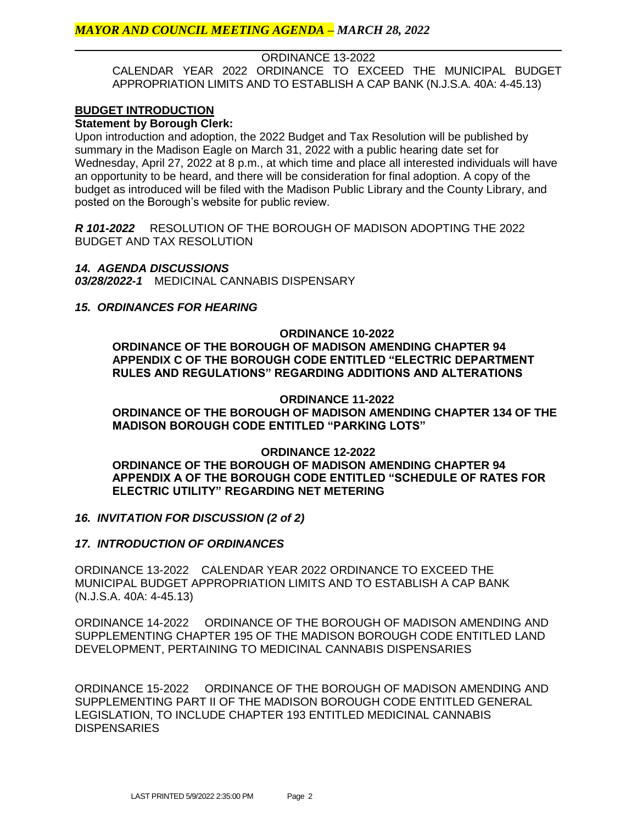ORDINANCE 13-2022

CALENDAR YEAR 2022 ORDINANCE TO EXCEED THE MUNICIPAL BUDGET APPROPRIATION LIMITS AND TO ESTABLISH A CAP BANK (N.J.S.A. 40A: 4-45.13)

## **BUDGET INTRODUCTION**

**Statement by Borough Clerk:**

Upon introduction and adoption, the 2022 Budget and Tax Resolution will be published by summary in the Madison Eagle on March 31, 2022 with a public hearing date set for Wednesday, April 27, 2022 at 8 p.m., at which time and place all interested individuals will have an opportunity to be heard, and there will be consideration for final adoption. A copy of the budget as introduced will be filed with the Madison Public Library and the County Library, and posted on the Borough's website for public review.

*R 101-2022* RESOLUTION OF THE BOROUGH OF MADISON ADOPTING THE 2022 BUDGET AND TAX RESOLUTION

#### *14. AGENDA DISCUSSIONS*

*03/28/2022-1* MEDICINAL CANNABIS DISPENSARY

### *15. ORDINANCES FOR HEARING*

**ORDINANCE 10-2022 ORDINANCE OF THE BOROUGH OF MADISON AMENDING CHAPTER 94 APPENDIX C OF THE BOROUGH CODE ENTITLED "ELECTRIC DEPARTMENT RULES AND REGULATIONS" REGARDING ADDITIONS AND ALTERATIONS**

#### **ORDINANCE 11-2022**

**ORDINANCE OF THE BOROUGH OF MADISON AMENDING CHAPTER 134 OF THE MADISON BOROUGH CODE ENTITLED "PARKING LOTS"** 

#### **ORDINANCE 12-2022**

**ORDINANCE OF THE BOROUGH OF MADISON AMENDING CHAPTER 94 APPENDIX A OF THE BOROUGH CODE ENTITLED "SCHEDULE OF RATES FOR ELECTRIC UTILITY" REGARDING NET METERING**

# *16. INVITATION FOR DISCUSSION (2 of 2)*

#### *17. INTRODUCTION OF ORDINANCES*

ORDINANCE 13-2022 CALENDAR YEAR 2022 ORDINANCE TO EXCEED THE MUNICIPAL BUDGET APPROPRIATION LIMITS AND TO ESTABLISH A CAP BANK (N.J.S.A. 40A: 4-45.13)

ORDINANCE 14-2022 ORDINANCE OF THE BOROUGH OF MADISON AMENDING AND SUPPLEMENTING CHAPTER 195 OF THE MADISON BOROUGH CODE ENTITLED LAND DEVELOPMENT, PERTAINING TO MEDICINAL CANNABIS DISPENSARIES

ORDINANCE 15-2022 ORDINANCE OF THE BOROUGH OF MADISON AMENDING AND SUPPLEMENTING PART II OF THE MADISON BOROUGH CODE ENTITLED GENERAL LEGISLATION, TO INCLUDE CHAPTER 193 ENTITLED MEDICINAL CANNABIS DISPENSARIES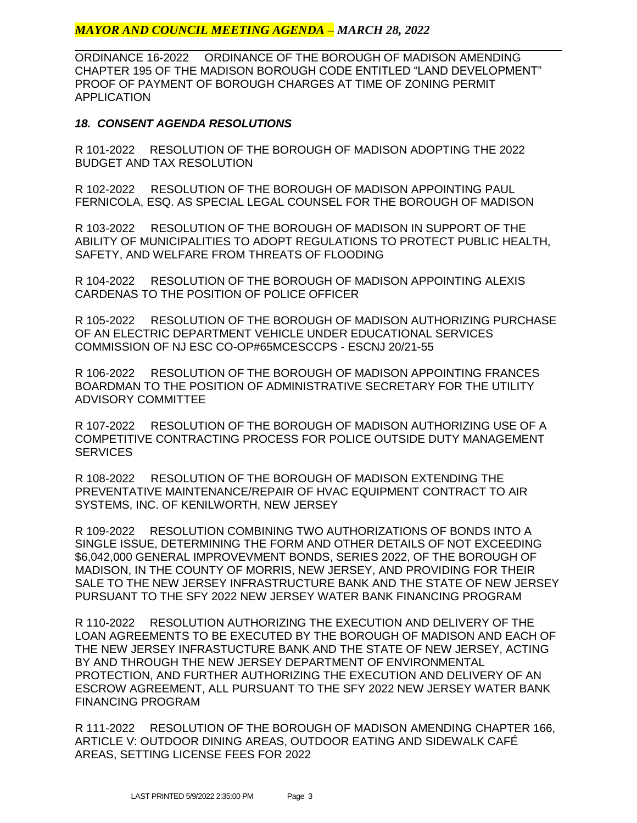# *MAYOR AND COUNCIL MEETING AGENDA – MARCH 28, 2022*

ORDINANCE 16-2022 ORDINANCE OF THE BOROUGH OF MADISON AMENDING CHAPTER 195 OF THE MADISON BOROUGH CODE ENTITLED "LAND DEVELOPMENT" PROOF OF PAYMENT OF BOROUGH CHARGES AT TIME OF ZONING PERMIT APPLICATION

## *18. CONSENT AGENDA RESOLUTIONS*

R 101-2022 RESOLUTION OF THE BOROUGH OF MADISON ADOPTING THE 2022 BUDGET AND TAX RESOLUTION

R 102-2022 RESOLUTION OF THE BOROUGH OF MADISON APPOINTING PAUL FERNICOLA, ESQ. AS SPECIAL LEGAL COUNSEL FOR THE BOROUGH OF MADISON

R 103-2022 RESOLUTION OF THE BOROUGH OF MADISON IN SUPPORT OF THE ABILITY OF MUNICIPALITIES TO ADOPT REGULATIONS TO PROTECT PUBLIC HEALTH, SAFETY, AND WELFARE FROM THREATS OF FLOODING

R 104-2022 RESOLUTION OF THE BOROUGH OF MADISON APPOINTING ALEXIS CARDENAS TO THE POSITION OF POLICE OFFICER

R 105-2022 RESOLUTION OF THE BOROUGH OF MADISON AUTHORIZING PURCHASE OF AN ELECTRIC DEPARTMENT VEHICLE UNDER EDUCATIONAL SERVICES COMMISSION OF NJ ESC CO-OP#65MCESCCPS - ESCNJ 20/21-55

R 106-2022 RESOLUTION OF THE BOROUGH OF MADISON APPOINTING FRANCES BOARDMAN TO THE POSITION OF ADMINISTRATIVE SECRETARY FOR THE UTILITY ADVISORY COMMITTEE

R 107-2022 RESOLUTION OF THE BOROUGH OF MADISON AUTHORIZING USE OF A COMPETITIVE CONTRACTING PROCESS FOR POLICE OUTSIDE DUTY MANAGEMENT **SERVICES** 

R 108-2022 RESOLUTION OF THE BOROUGH OF MADISON EXTENDING THE PREVENTATIVE MAINTENANCE/REPAIR OF HVAC EQUIPMENT CONTRACT TO AIR SYSTEMS, INC. OF KENILWORTH, NEW JERSEY

R 109-2022 RESOLUTION COMBINING TWO AUTHORIZATIONS OF BONDS INTO A SINGLE ISSUE, DETERMINING THE FORM AND OTHER DETAILS OF NOT EXCEEDING \$6,042,000 GENERAL IMPROVEVMENT BONDS, SERIES 2022, OF THE BOROUGH OF MADISON, IN THE COUNTY OF MORRIS, NEW JERSEY, AND PROVIDING FOR THEIR SALE TO THE NEW JERSEY INFRASTRUCTURE BANK AND THE STATE OF NEW JERSEY PURSUANT TO THE SFY 2022 NEW JERSEY WATER BANK FINANCING PROGRAM

R 110-2022 RESOLUTION AUTHORIZING THE EXECUTION AND DELIVERY OF THE LOAN AGREEMENTS TO BE EXECUTED BY THE BOROUGH OF MADISON AND EACH OF THE NEW JERSEY INFRASTUCTURE BANK AND THE STATE OF NEW JERSEY, ACTING BY AND THROUGH THE NEW JERSEY DEPARTMENT OF ENVIRONMENTAL PROTECTION, AND FURTHER AUTHORIZING THE EXECUTION AND DELIVERY OF AN ESCROW AGREEMENT, ALL PURSUANT TO THE SFY 2022 NEW JERSEY WATER BANK FINANCING PROGRAM

R 111-2022 RESOLUTION OF THE BOROUGH OF MADISON AMENDING CHAPTER 166, ARTICLE V: OUTDOOR DINING AREAS, OUTDOOR EATING AND SIDEWALK CAFÉ AREAS, SETTING LICENSE FEES FOR 2022